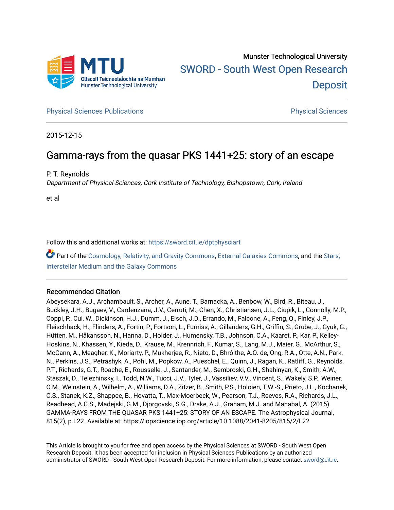

**[Physical Sciences Publications](https://sword.cit.ie/dptphysciart) Provide Access Publications Physical Sciences** Physical Sciences

2015-12-15

# Gamma-rays from the quasar PKS 1441+25: story of an escape

P. T. Reynolds

Department of Physical Sciences, Cork Institute of Technology, Bishopstown, Cork, Ireland

et al

Follow this and additional works at: [https://sword.cit.ie/dptphysciart](https://sword.cit.ie/dptphysciart?utm_source=sword.cit.ie%2Fdptphysciart%2F103&utm_medium=PDF&utm_campaign=PDFCoverPages)

Part of the [Cosmology, Relativity, and Gravity Commons,](http://network.bepress.com/hgg/discipline/129?utm_source=sword.cit.ie%2Fdptphysciart%2F103&utm_medium=PDF&utm_campaign=PDFCoverPages) [External Galaxies Commons](http://network.bepress.com/hgg/discipline/128?utm_source=sword.cit.ie%2Fdptphysciart%2F103&utm_medium=PDF&utm_campaign=PDFCoverPages), and the [Stars,](http://network.bepress.com/hgg/discipline/127?utm_source=sword.cit.ie%2Fdptphysciart%2F103&utm_medium=PDF&utm_campaign=PDFCoverPages)  [Interstellar Medium and the Galaxy Commons](http://network.bepress.com/hgg/discipline/127?utm_source=sword.cit.ie%2Fdptphysciart%2F103&utm_medium=PDF&utm_campaign=PDFCoverPages) 

## Recommended Citation

Abeysekara, A.U., Archambault, S., Archer, A., Aune, T., Barnacka, A., Benbow, W., Bird, R., Biteau, J., Buckley, J.H., Bugaev, V., Cardenzana, J.V., Cerruti, M., Chen, X., Christiansen, J.L., Ciupik, L., Connolly, M.P., Coppi, P., Cui, W., Dickinson, H.J., Dumm, J., Eisch, J.D., Errando, M., Falcone, A., Feng, Q., Finley, J.P., Fleischhack, H., Flinders, A., Fortin, P., Fortson, L., Furniss, A., Gillanders, G.H., Griffin, S., Grube, J., Gyuk, G., Hütten, M., Håkansson, N., Hanna, D., Holder, J., Humensky, T.B., Johnson, C.A., Kaaret, P., Kar, P., Kelley-Hoskins, N., Khassen, Y., Kieda, D., Krause, M., Krennrich, F., Kumar, S., Lang, M.J., Maier, G., McArthur, S., McCann, A., Meagher, K., Moriarty, P., Mukherjee, R., Nieto, D., Bhróithe, A.O. de, Ong, R.A., Otte, A.N., Park, N., Perkins, J.S., Petrashyk, A., Pohl, M., Popkow, A., Pueschel, E., Quinn, J., Ragan, K., Ratliff, G., Reynolds, P.T., Richards, G.T., Roache, E., Rousselle, J., Santander, M., Sembroski, G.H., Shahinyan, K., Smith, A.W., Staszak, D., Telezhinsky, I., Todd, N.W., Tucci, J.V., Tyler, J., Vassiliev, V.V., Vincent, S., Wakely, S.P., Weiner, O.M., Weinstein, A., Wilhelm, A., Williams, D.A., Zitzer, B., Smith, P.S., Holoien, T.W.-S., Prieto, J.L., Kochanek, C.S., Stanek, K.Z., Shappee, B., Hovatta, T., Max-Moerbeck, W., Pearson, T.J., Reeves, R.A., Richards, J.L., Readhead, A.C.S., Madejski, G.M., Djorgovski, S.G., Drake, A.J., Graham, M.J. and Mahabal, A. (2015). GAMMA-RAYS FROM THE QUASAR PKS 1441+25: STORY OF AN ESCAPE. The Astrophysical Journal, 815(2), p.L22. Available at: https://iopscience.iop.org/article/10.1088/2041-8205/815/2/L22

This Article is brought to you for free and open access by the Physical Sciences at SWORD - South West Open Research Deposit. It has been accepted for inclusion in Physical Sciences Publications by an authorized administrator of SWORD - South West Open Research Deposit. For more information, please contact [sword@cit.ie.](mailto:sword@cit.ie)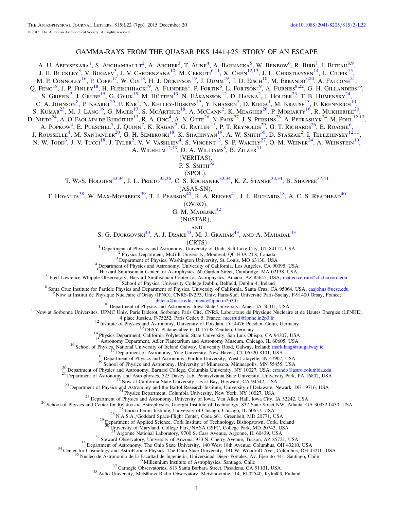### GAMMA-RAYS FROM THE QUASAR PKS 1441+25: STORY OF AN ESCAPE

A. U. Abeysekara<sup>[1](#page-1-0)</sup>, S. Archambault<sup>[2](#page-1-1)</sup>, A. Archer<sup>[3](#page-1-2)</sup>, T. Aune<sup>[4](#page-1-3)</sup>, A. Barnacka<sup>[5](#page-1-4)</sup>, W. Benbow<sup>[6](#page-1-5)</sup>, R. Bird<sup>[7](#page-1-6)</sup>, J. Biteau<sup>[8](#page-1-7)[,9](#page-1-8)</sup>, J. H. Buckley<sup>[3](#page-1-2)</sup>, V. Bugaev<sup>3</sup>, J. V. Cardenzana<sup>[10](#page-1-9)</sup>, M. Cerruti<sup>[6](#page-1-5)[,11](#page-1-10)</sup>, X. Chen<sup>[12](#page-1-11)[,13](#page-1-12)</sup>, J. L. Christiansen<sup>[14](#page-1-13)</sup>, L. Ciupik<sup>[15](#page-1-14)</sup>, M. P. Connolly<sup>[16](#page-1-15)</sup>, P. Coppi<sup>[17](#page-1-16)</sup>, W. Cui<sup>[18](#page-1-17)</sup>, H. J. Dickinson<sup>[19](#page-1-18)</sup>, J. Dumm<sup>19</sup>, J. D. Eisch<sup>[10](#page-1-9)</sup>, M. Errando<sup>[3](#page-1-2)[,20](#page-1-19)</sup>, A. Falcone<sup>[21](#page-1-20)</sup>, O. Feng<sup>[18](#page-1-17)</sup>, J. P. Finley<sup>18</sup>, H. Fleischhack<sup>[19](#page-1-18)</sup>, A. Flinders<sup>[1](#page-1-0)</sup>, P. Fortin<sup>[6](#page-1-5)</sup>, L. Fortson<sup>19</sup>, A. Furniss<sup>[8](#page-1-7)[,22](#page-1-21)</sup>, G. H. Gillanders<sup>[16](#page-1-15)</sup>, S. Griffin<sup>[2](#page-1-1)</sup>, J. Grube<sup>[15](#page-1-14)</sup>, G. Gyuk<sup>15</sup>, M. Hütten<sup>[13](#page-1-12)</sup>, N. Håkansson<sup>[12](#page-1-11)</sup>, D. Hanna<sup>2</sup>, J. Holder<sup>[23](#page-1-22)</sup>, T. B. Humensky<sup>[24](#page-1-23)</sup>, C. A. JOHNSON<sup>[8](#page-1-7)</sup>, P. KAARET<sup>[25](#page-1-24)</sup>, P. KAR<sup>[1](#page-1-0)</sup>, N. Kelley-Hoskins<sup>[13](#page-1-12)</sup>, Y. Khassen<sup>[7](#page-1-6)</sup>, D. Kieda<sup>1</sup>, M. Krause<sup>13</sup>, F. Krennrich<sup>[10](#page-1-9)</sup>, S. KUMAR<sup>[23](#page-1-22)</sup>, M. J. Lang<sup>[16](#page-1-15)</sup>, G. Maier<sup>[13](#page-1-12)</sup>, S. McArthur<sup>[18](#page-1-17)</sup>, A. McCann<sup>[2](#page-1-1)</sup>, K. Meagher<sup>[26](#page-1-25)</sup>, P. Moriarty<sup>16</sup>, R. Mukherjee<sup>[20](#page-1-19)</sup>, D. Nieto $^{24}$  $^{24}$  $^{24}$ , A. O'Faoláin de Bhróithe $^{13}$  $^{13}$  $^{13}$ , R. A. Ong $^4$  $^4$ , A. N. Otte $^{26}$  $^{26}$  $^{26}$ , N. Park $^{27}$  $^{27}$  $^{27}$ , J. S. Perkins $^{28}$  $^{28}$  $^{28}$ , A. Petrashyk $^{24}$ , M. Pohl $^{12,13},$  $^{12,13},$  $^{12,13},$  $^{12,13},$ A. Popkow<sup>[4](#page-1-3)</sup>, E. Pueschel<sup>[7](#page-1-6)</sup>, J. Ouinn<sup>7</sup>, K. Ragan<sup>[2](#page-1-1)</sup>, G. Ratliff<sup>[15](#page-1-14)</sup>, P. T. Reynolds<sup>[29](#page-1-28)</sup>, G. T. Richards<sup>[26](#page-1-25)</sup>, E. Roache<sup>[6](#page-1-5)</sup>, J. Rousselle<sup>[4](#page-1-3)</sup>, M. Santander<sup>[20](#page-1-19)</sup>, G. H. Sembroski<sup>[18](#page-1-17)</sup>, K. Shahinyan<sup>[19](#page-1-18)</sup>, A. W. Smith<sup>[30](#page-1-29)</sup>, D. Staszak<sup>[2](#page-1-1)</sup>, I. Telezhinsky<sup>[12](#page-1-11)[,13](#page-1-12)</sup>, N. W. Todd<sup>[3](#page-1-2)</sup>, J. V. Tucci<sup>[18](#page-1-17)</sup>, J. Tyler<sup>[2](#page-1-1)</sup>, V. V. Vassiliev<sup>[4](#page-1-3)</sup>, S. Vincent<sup>[13](#page-1-12)</sup>, S. P. Wakely<sup>[27](#page-1-26)</sup>, O. M. Weiner<sup>[24](#page-1-23)</sup>, A. Weinstein<sup>[10](#page-1-9)</sup>,

A. WILHELM $^{12,13}$  $^{12,13}$  $^{12,13}$  $^{12,13}$ , D. A. WILLIAMS<sup>[8](#page-1-7)</sup>, B. ZITZER $^{31}$  $^{31}$  $^{31}$ 

(VERITAS),

P. S. Smith<sup>[32](#page-1-30)</sup>

(SPOL),

T. W.-S. HOLOIEN<sup>[33](#page-1-31)[,34](#page-1-32)</sup>, J. L. PRIETO<sup>[35](#page-1-33)[,36](#page-1-34)</sup>, C. S. KOCHANEK<sup>33,34</sup>, K. Z. STANEK<sup>33,34</sup>, B. SHAPPEE<sup>[37](#page-1-35)[,44](#page-2-0)</sup>

(ASAS-SN),

T. HOVATTA<sup>[38](#page-1-36)</sup>, W. MAX-MOERBECK<sup>[39](#page-2-1)</sup>, T. J. PEARSON<sup>[40](#page-2-2)</sup>, R. A. REEVES<sup>[41](#page-2-3)</sup>, J. L. RICHARDS<sup>[18](#page-1-17)</sup>, A. C. S. READHEAD<sup>40</sup>

(OVRO),

G. M. MADEJSKI $42$ 

(NuSTAR),

and

S. G. Djorgovski $^{43}$  $^{43}$  $^{43}$ , A. J. Drake $^{43}$ , M. J. Graham $^{43}$ , and A. Mahabal $^{43}$ 

(CRTS)<br>
<sup>1</sup> Department of Physics and Astronomy, University of Utah, Salt Lake City, UT 84112, USA<br>
<sup>2</sup> Physics Department, McGill University, Montreal, QC H3A 2T8, Canada<br>
<sup>3</sup> Department of Physics, Washington University,

<span id="page-1-6"></span><span id="page-1-5"></span><span id="page-1-4"></span><span id="page-1-3"></span><span id="page-1-2"></span><span id="page-1-1"></span><span id="page-1-0"></span><sup>6</sup> Fred Lawrence Whipple Observatory, Harvard-Smithsonian Center for Astrophysics, Amado, AZ 85645, USA; [matteo.cerruti@cfa.harvard.edu](mailto:matteo.cerruti@cfa.harvard.edu) <sup>7</sup> School of Physics, University College Dublin, Belfield, Dublin 4, Ireland <sup>8</sup> Sa

<span id="page-1-10"></span><span id="page-1-9"></span><span id="page-1-8"></span><span id="page-1-7"></span><sup>10</sup> Department of Physics and Astronomy, Iowa State University, Ames, IA 50011, USA<br><sup>11</sup> Now at Sorbonne Universités, UPMC Univ. Paris Diderot, Sorbonne Paris Cité, CNRS, Laboratoire de Physique Nucléaire et de Hautes Ene

<span id="page-1-21"></span><span id="page-1-20"></span><span id="page-1-19"></span><span id="page-1-18"></span><span id="page-1-17"></span>

<span id="page-1-22"></span>

<span id="page-1-25"></span><span id="page-1-24"></span><span id="page-1-23"></span>

<span id="page-1-16"></span><span id="page-1-15"></span><span id="page-1-14"></span><span id="page-1-13"></span><span id="page-1-12"></span><span id="page-1-11"></span><sup>12</sup> Institute of Physics and Astronomy, University of Potsdam, D-14476 Potsdam-Golm, Germany<br>
<sup>12</sup> Institute of Physics and Astronomy, University of Potsdam, D-14476 Potsdam-Golm, Germany<br>
<sup>14</sup> Physics Department, Califo

<span id="page-1-36"></span><span id="page-1-35"></span><span id="page-1-34"></span><span id="page-1-33"></span>

<span id="page-1-32"></span><span id="page-1-31"></span><span id="page-1-30"></span><span id="page-1-29"></span><span id="page-1-28"></span><span id="page-1-27"></span><span id="page-1-26"></span><sup>31</sup> Argonne National Laboratory, 9700 S. Cass Avenue, Argonne, IL 60439, USA<br><sup>32</sup> Steward Observatory, University of Arizona, 933 N. Cherry Avenue, Tucson, AZ 85721, USA<br><sup>33</sup> Department of Astronomy, The Ohio State Unive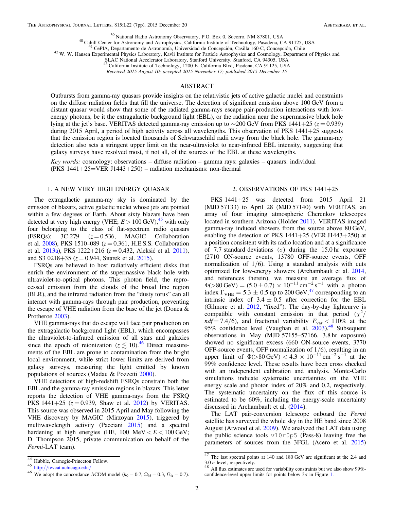<span id="page-2-5"></span><span id="page-2-4"></span><span id="page-2-3"></span><span id="page-2-2"></span><span id="page-2-1"></span><sup>39</sup> National Radio Astronomy Observatory, P.O. Box 0, Socorro, NM 87801, USA<br><sup>40</sup> Cahill Center for Astronomy and Astrophysics, California Institute of Technology, Pasadena, CA 91125, USA<br><sup>41</sup> CePIA, Departamento de Astr

SLAC National Accelerator Laboratory, Stanford University, Stanford, CA 94305, USA<br><sup>43</sup> California Institute of Technology, 1200 E. California Blvd, Pasdena, CA 91125, USA

Received 2015 August 10; accepted 2015 November 17; published 2015 December 15

#### ABSTRACT

Outbursts from gamma-ray quasars provide insights on the relativistic jets of active galactic nuclei and constraints on the diffuse radiation fields that fill the universe. The detection of significant emission above 100 GeV from a distant quasar would show that some of the radiated gamma-rays escape pair-production interactions with lowenergy photons, be it the extragalactic background light (EBL), or the radiation near the supermassive black hole lying at the jet's base. VERITAS detected gamma-ray emission up to ~200 GeV from PKS 1441+25 ( $z = 0.939$ ) during 2015 April, a period of high activity across all wavelengths. This observation of PKS 1441+25 suggests that the emission region is located thousands of Schwarzschild radii away from the black hole. The gamma-ray detection also sets a stringent upper limit on the near-ultraviolet to near-infrared EBL intensity, suggesting that galaxy surveys have resolved most, if not all, of the sources of the EBL at these wavelengths.

Key words: cosmology: observations – diffuse radiation – gamma rays: galaxies – quasars: individual (PKS  $1441+25=VER J1443+250$ ) – radiation mechanisms: non-thermal

#### 1. A NEW VERY HIGH ENERGY QUASAR

The extragalactic gamma-ray sky is dominated by the emission of blazars, active galactic nuclei whose jets are pointed within a few degrees of Earth. About sixty blazars have been detected at very high energy (VHE;  $E > 100$  GeV),<sup>[45](#page-2-6)</sup> with only four belonging to the class of flat-spectrum radio quasars (FSRQs):  $3C\ 279$   $(z=0.536, \text{MAGIC}$  Collaboration et al. [2008](#page-6-0)), PKS 1510–089 ( $z = 0.361$ , H.E.S.S. Collaboration et al. [2013a](#page-6-1)), PKS 1222+216 ( $z = 0.432$ , Aleksić et al. [2011](#page-6-2)), and S3 0218+35 ( $z = 0.944$ , Sitarek et al. [2015](#page-7-0)).

FSRQs are believed to host radiatively efficient disks that enrich the environment of the supermassive black hole with ultraviolet-to-optical photons. This photon field, the reprocessed emission from the clouds of the broad line region (BLR), and the infrared radiation from the "dusty torus" can all interact with gamma-rays through pair production, preventing the escape of VHE radiation from the base of the jet (Donea & Protheroe [2003](#page-6-3)).

VHE gamma-rays that do escape will face pair production on the extragalactic background light (EBL), which encompasses the ultraviolet-to-infrared emission of all stars and galaxies since the epoch of reionization ( $z \lesssim 10$ ).<sup>[46](#page-2-7)</sup> Direct measurements of the EBL are prone to contamination from the bright local environment, while strict lower limits are derived from galaxy surveys, measuring the light emitted by known populations of sources (Madau & Pozzetti [2000](#page-6-4)).

VHE detections of high-redshift FSRQs constrain both the EBL and the gamma-ray emission regions in blazars. This letter reports the detection of VHE gamma-rays from the FSRQ PKS 1441+25 ( $z = 0.939$ , Shaw et al. [2012](#page-6-5)) by VERITAS. This source was observed in 2015 April and May following the VHE discovery by MAGIC (Mirzoyan [2015](#page-6-6)), triggered by multiwavelength activity (Pacciani [2015](#page-6-7)) and a spectral hardening at high energies (HE,  $100 \text{ MeV} < E < 100 \text{ GeV}$ ; D. Thompson 2015, private communication on behalf of the Fermi-LAT team).

#### 2. OBSERVATIONS OF PKS 1441+25

<span id="page-2-10"></span>PKS 1441+25 was detected from 2015 April 21 (MJD 57133) to April 28 (MJD 57140) with VERITAS, an array of four imaging atmospheric Cherenkov telescopes located in southern Arizona (Holder [2011](#page-6-8)). VERITAS imaged gamma-ray induced showers from the source above 80 GeV, enabling the detection of PKS  $1441+25$  (VER J1443+250) at a position consistent with its radio location and at a significance of 7.7 standard deviations ( $\sigma$ ) during the 15.0 hr exposure (2710 ON-source events, 13780 OFF-source events, OFF normalization of  $1/6$ . Using a standard analysis with cuts optimized for low-energy showers (Archambault et al. [2014](#page-6-9), and references therein), we measure an average flux of  $\Phi(>80 \text{ GeV}) = (5.0 \pm 0.7) \times 10^{-11} \text{ cm}^{-2} \text{ s}^{-1}$  with a photon index  $\Gamma_{\text{VHE}} = 5.3 \pm 0.5$  up to 200 GeV,<sup>47</sup> corresponding to an intrinsic index of  $3.4 \pm 0.5$  after correction for the EBL (Gilmore et al. [2012,](#page-6-10) "fixed"). The day-by-day lightcurve is compatible with constant emission in that period  $(x^2)$  $ndf = 7.4/6$ , and fractional variability  $F_{\text{var}} < 110\%$  at the 95% confidence level (Vaughan et al. [2003](#page-7-1)).<sup>[48](#page-2-9)</sup> Subsequent observations in May (MJD 57155–57166, 3.8 hr exposure) showed no significant excess (660 ON-source events, 3770 OFF-source events, OFF normalization of  $1/6$ ), resulting in an upper limit of  $\Phi(>80 \,\text{GeV}) < 4.3 \times 10^{-11} \,\text{cm}^{-2} \,\text{s}^{-1}$  at the 99% confidence level. These results have been cross checked with an independent calibration and analysis. Monte-Carlo simulations indicate systematic uncertainties on the VHE energy scale and photon index of 20% and 0.2, respectively. The systematic uncertainty on the flux of this source is estimated to be 60%, including the energy-scale uncertainty discussed in Archambault et al. ([2014](#page-6-9)).

The LAT pair-conversion telescope onboard the Fermi satellite has surveyed the whole sky in the HE band since 2008 August (Atwood et al. [2009](#page-6-11)). We analyzed the LAT data using the public science tools v10r0p5 (Pass-8) leaving free the parameters of sources from the 3FGL (Acero et al. [2015](#page-6-12))

<span id="page-2-7"></span><span id="page-2-6"></span>

<span id="page-2-0"></span><sup>&</sup>lt;sup>44</sup> Hubble, Carnegie-Princeton Fellow.<br><sup>45</sup> http://[tevcat.uchicago.edu](http://tevcat.uchicago.edu/)/<br><sup>46</sup> We adopt the concordance ΛCDM model ( $h_0 = 0.7$ ,  $\Omega_M = 0.3$ ,  $\Omega_{\Lambda} = 0.7$ ).

<span id="page-2-8"></span><sup>&</sup>lt;sup>47</sup> The last spectral points at 140 and 180 GeV are significant at the 2.4 and 3.0  $\sigma$  level, respectively.<br><sup>48</sup> All flux estimates are used for variability constraints but we also show 99%-

<span id="page-2-9"></span>confidence-level upper limits for points below  $3\sigma$  in Figure [1.](#page-3-0)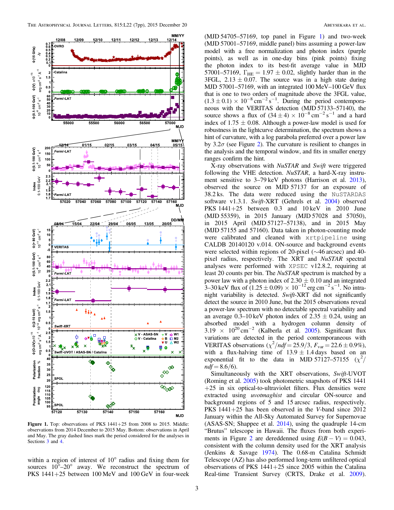<span id="page-3-0"></span>

MJD 57001–57169, with an integrated 100 MeV–100 GeV flux that is one to two orders of magnitude above the 3FGL value,  $(1.3 \pm 0.1) \times 10^{-8}$  cm<sup>-2</sup> s<sup>-1</sup>. During the period contemporaneous with the VERITAS detection (MJD 57133–57140), the source shows a flux of  $(34 \pm 4) \times 10^{-8}$  cm<sup>-2</sup> s<sup>-1</sup> and a hard index of  $1.75 \pm 0.08$ . Although a power-law model is used for robustness in the lightcurve determination, the spectrum shows a hint of curvature, with a log parabola preferred over a power law by  $3.2\sigma$  $3.2\sigma$  $3.2\sigma$  (see Figure 2). The curvature is resilient to changes in the analysis and the temporal window, and fits in smaller energy ranges confirm the hint.

(MJD 54705–57169, top panel in Figure [1](#page-3-0)) and two-week (MJD 57001–57169, middle panel) bins assuming a power-law model with a free normalization and photon index (purple points), as well as in one-day bins (pink points) fixing the photon index to its best-fit average value in MJD 57001–57169,  $\Gamma_{\text{HE}} = 1.97 \pm 0.02$ , slightly harder than in the 3FGL,  $2.13 \pm 0.07$ . The source was in a high state during

X-ray observations with NuSTAR and Swift were triggered following the VHE detection. *NuSTAR*, a hard-X-ray instru-ment sensitive to 3–79 keV photons (Harrison et al. [2013](#page-6-13)), observed the source on MJD 57137 for an exposure of 38.2 ks. The data were reduced using the NuSTARDAS software v1.3.1. Swift-XRT (Gehrels et al. [2004](#page-6-14)) observed PKS 1441+25 between 0.3 and 10 keV in 2010 June (MJD 55359), in 2015 January (MJD 57028 and 57050), in 2015 April (MJD 57127–57138), and in 2015 May (MJD 57155 and 57160). Data taken in photon-counting mode were calibrated and cleaned with xrtpipeline using CALDB 20140120 v.014. ON-source and background events were selected within regions of 20-pixel (∼46 arcsec) and 40 pixel radius, respectively. The XRT and NuSTAR spectral analyses were performed with XPSEC v12.8.2, requiring at least 20 counts per bin. The *NuSTAR* spectrum is matched by a power law with a photon index of  $2.30 \pm 0.10$  and an integrated 3–30 keV flux of  $(1.25 \pm 0.09) \times 10^{-12}$  erg cm<sup>-2</sup> s<sup>-1</sup>. No intranight variability is detected. Swift-XRT did not significantly detect the source in 2010 June, but the 2015 observations reveal a power-law spectrum with no detectable spectral variability and an average 0.3–10 keV photon index of  $2.35 \pm 0.24$ , using an absorbed model with a hydrogen column density of  $3.19 \times 10^{20} \text{ cm}^{-2}$  (Kalberla et al. [2005](#page-6-15)). Significant flux variations are detected in the period contemporaneous with VERITAS observations  $(\chi^2/ndf = 25.9/3, F_{var} = 22.6 \pm 0.9\%)$ , with a flux-halving time of  $13.9 \pm 1.4$  days based on an exponential fit to the data in MJD 57127-57155  $(\chi^2)$  $ndf = 8.6/6$ .

Simultaneously with the XRT observations, Swift-UVOT (Roming et al. [2005](#page-6-16)) took photometric snapshots of PKS 1441  $+25$  in six optical-to-ultraviolet filters. Flux densities were extracted using uvotmaghist and circular ON-source and background regions of 5 and 15 arcsec radius, respectively. PKS 1441+25 has been observed in the V-band since 2012 January within the All-Sky Automated Survey for Supernovae (ASAS-SN; Shappee et al. [2014](#page-6-17)), using the quadruple 14-cm "Brutus" telescope in Hawaii. The fluxes from both experi-ments in Figure [2](#page-4-0) are dereddenned using  $E(B - V) = 0.043$ , consistent with the column density used for the XRT analysis (Jenkins & Savage [1974](#page-6-18)). The 0.68-m Catalina Schmidt Telescope (AZ) has also performed long-term unfiltered optical observations of PKS  $1441+25$  since 2005 within the Catalina Real-time Transient Survey (CRTS, Drake et al. [2009](#page-6-19)).

Figure 1. Top: observations of PKS <sup>1441</sup>+25 from 2008 to 2015. Middle: observations from 2014 December to 2015 May. Bottom: observations in April and May. The gray dashed lines mark the period considered for the analyses in Sections [3](#page-4-1) and [4](#page-5-0).

within a region of interest of 10° radius and fixing them for sources  $10^{\circ}-20^{\circ}$  away. We reconstruct the spectrum of PKS 1441+25 between 100 MeV and 100 GeV in four-week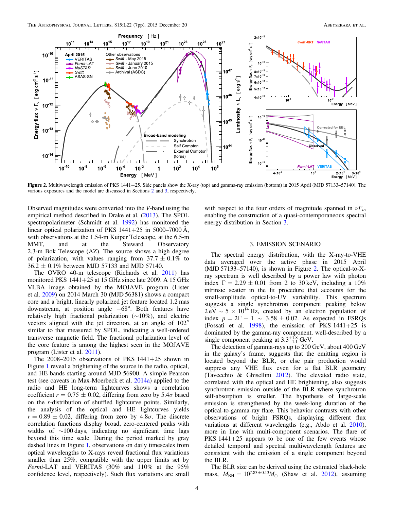<span id="page-4-0"></span>

Figure 2. Multiwavelength emission of PKS 1441+25. Side panels show the X-ray (top) and gamma-ray emission (bottom) in 2015 April (MJD 57133–57140). The various exposures and the model are discussed in Sections [2](#page-2-10) and [3](#page-4-1), respectively.

Observed magnitudes were converted into the V-band using the empirical method described in Drake et al. ([2013](#page-6-20)). The SPOL spectropolarimeter (Schmidt et al. [1992](#page-6-21)) has monitored the linear optical polarization of PKS  $1441+25$  in  $5000-7000 \text{ Å}$ , with observations at the 1.54-m Kuiper Telescope, at the 6.5-m MMT, and at the Steward Observatory 2.3-m Bok Telescope (AZ). The source shows a high degree of polarization, with values ranging from  $37.7 \pm 0.1\%$  to  $36.2 \pm 0.1\%$  between MJD 57133 and MJD 57140.

The OVRO 40-m telescope (Richards et al. [2011](#page-6-22)) has monitored PKS  $1441+25$  at 15 GHz since late 2009. A 15 GHz VLBA image obtained by the MOJAVE program (Lister et al. [2009](#page-6-23)) on 2014 March 30 (MJD 56381) shows a compact core and a bright, linearly polarized jet feature located 1.2 mas downstream, at position angle −68°. Both features have relatively high fractional polarization (∼10%), and electric vectors aligned with the jet direction, at an angle of 102° similar to that measured by SPOL, indicating a well-ordered transverse magnetic field. The fractional polarization level of the core feature is among the highest seen in the MOJAVE program (Lister et al. [2011](#page-6-24)).

The  $2008-2015$  observations of PKS  $1441+25$  shown in Figure [1](#page-3-0) reveal a brightening of the source in the radio, optical, and HE bands starting around MJD 56900. A simple Pearson test (see caveats in Max-Moerbeck et al. [2014a](#page-6-25)) applied to the radio and HE long-term lightcurves shows a correlation coefficient  $r = 0.75 \pm 0.02$ , differing from zero by 5.4 $\sigma$  based on the r-distribution of shuffled lightcurve points. Similarly, the analysis of the optical and HE lightcurves yields  $r = 0.89 \pm 0.02$ , differing from zero by 4.8 $\sigma$ . The discrete correlation functions display broad, zero-centered peaks with widths of ∼100 days, indicating no significant time lags beyond this time scale. During the period marked by gray dashed lines in Figure [1](#page-3-0), observations on daily timescales from optical wavelengths to X-rays reveal fractional flux variations smaller than 25%, compatible with the upper limits set by Fermi-LAT and VERITAS (30% and 110% at the 95% confidence level, respectively). Such flux variations are small

with respect to the four orders of magnitude spanned in  $\nu F_{\nu}$ , enabling the construction of a quasi-contemporaneous spectral energy distribution in Section [3.](#page-4-1)

#### 3. EMISSION SCENARIO

<span id="page-4-1"></span>The spectral energy distribution, with the X-ray-to-VHE data averaged over the active phase in 2015 April (MJD 57133–57140), is shown in Figure [2.](#page-4-0) The optical-to-Xray spectrum is well described by a power law with photon index  $\Gamma = 2.29 \pm 0.01$  from 2 to 30 keV, including a 10% intrinsic scatter in the fit procedure that accounts for the small-amplitude optical-to-UV variability. This spectrum suggests a single synchrotron component peaking below  $2 \text{ eV} \sim 5 \times 10^{14} \text{ Hz}$ , created by an electron population of index  $p = 2\Gamma - 1 \sim 3.58 \pm 0.02$ . As expected in FSRQs (Fossati et al. [1998](#page-6-26)), the emission of PKS  $1441+25$  is dominated by the gamma-ray component, well-described by a single component peaking at  $3.3^{+1.8}_{-1.1}$  GeV.

The detection of gamma-rays up to 200 GeV, about 400 GeV in the galaxy's frame, suggests that the emitting region is located beyond the BLR, or else pair production would suppress any VHE flux even for a flat BLR geometry (Tavecchio & Ghisellini [2012](#page-7-2)). The elevated radio state, correlated with the optical and HE brightening, also suggests synchrotron emission outside of the BLR where synchrotron self-absorption is smaller. The hypothesis of large-scale emission is strengthened by the week-long duration of the optical-to-gamma-ray flare. This behavior contrasts with other observations of bright FSRQs, displaying different flux variations at different wavelengths (e.g., Abdo et al. [2010](#page-6-27)), more in line with multi-component scenarios. The flare of PKS 1441+25 appears to be one of the few events whose detailed temporal and spectral multiwavelength features are consistent with the emission of a single component beyond the BLR.

The BLR size can be derived using the estimated black-hole mass,  $M_{\text{BH}} = 10^{7.83 \pm 0.13} M_{\odot}$  (Shaw et al. [2012](#page-6-5)), assuming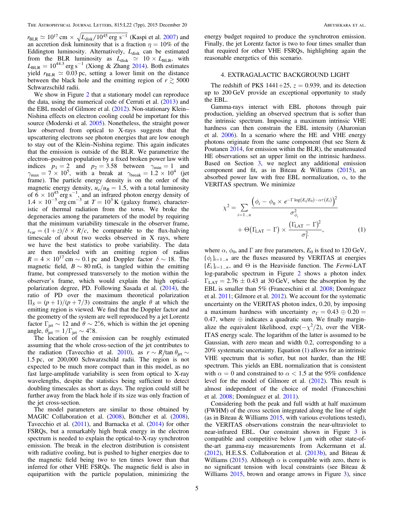$r_{\rm BLR} \simeq 10^{17} \, {\rm cm} \times \sqrt{L_{\rm disk} / 10^{45}} \, {\rm erg \, \, s^{-1}}$  (Kaspi et al. [2007](#page-6-28)) and an accretion disk luminosity that is a fraction  $\eta = 10\%$  of the Eddington luminosity. Alternatively,  $L_{disk}$  can be estimated from the BLR luminosity as  $L_{disk} \approx 10 \times L_{BLR}$ , with  $L_{BLR} = 10^{44.3}$  erg s<sup>-1</sup> (Xiong & Zhang [2014](#page-7-3)). Both estimates yield  $r_{BLR} \simeq 0.03$  pc, setting a lower limit on the distance between the black hole and the emitting region of  $r \gtrsim 5000$ Schwarzschild radii.

We show in Figure [2](#page-4-0) that a stationary model can reproduce the data, using the numerical code of Cerruti et al.  $(2013)$  $(2013)$  $(2013)$  and the EBL model of Gilmore et al. ([2012](#page-6-10)). Non-stationary Klein– Nishina effects on electron cooling could be important for this source (Moderski et al. [2005](#page-6-30)). Nonetheless, the straight power law observed from optical to X-rays suggests that the upscattering electrons see photon energies that are low enough to stay out of the Klein–Nishina regime. This again indicates that the emission is outside of the BLR. We parametrize the electron–positron population by a fixed broken power law with indices  $p_1 = 2$  and  $p_2 = 3.58$  between  $\gamma_{\text{min}} = 1$  and  $\gamma_{\text{max}} = 7 \times 10^5$ , with a break at  $\gamma_{\text{break}} = 1.2 \times 10^4$  (jet frame). The particle energy density is on the order of the magnetic energy density,  $u_e/u_B = 1.5$ , with a total luminosity of  $6 \times 10^{45}$  erg s<sup>-1</sup>, and an infrared photon energy density of  $1.4 \times 10^{-5}$  erg cm<sup>-3</sup> at  $T = 10^{3}$  K (galaxy frame), characteristic of thermal radiation from the torus. We broke the degeneracies among the parameters of the model by requiring that the minimum variability timescale in the observer frame,  $t_{\text{var}} = (1 + z)/\delta \times R/c$ , be comparable to the flux-halving timescale of about two weeks observed in X rays, where we have the best statistics to probe variability. The data are then modeled with an emitting region of radius  $R = 4 \times 10^{17}$  cm  $\sim 0.1$  pc and Doppler factor  $\delta \sim 18$ . The magnetic field,  $B \sim 80$  mG, is tangled within the emitting frame, but compressed transversely to the motion within the observer's frame, which would explain the high opticalpolarization degree, PD. Following Sasada et al. ([2014](#page-6-31)), the ratio of PD over the maximum theoretical polarization  $\Pi_{\rm S} = (p+1)/(p+7/3)$  constrains the angle  $\theta$  at which the emitting region is viewed. We find that the Doppler factor and the geometry of the system are well reproduced by a jet Lorentz factor  $\Gamma_{\rm jet} \sim 12$  and  $\theta \sim 2^{\circ}$ 6, which is within the jet opening angle,  $\theta_{\rm jet} = 1/\Gamma_{\rm jet} \sim 4^\circ.8$ .

The location of the emission can be roughly estimated assuming that the whole cross-section of the jet contributes to the radiation (Tavecchio et al. [2010](#page-7-4)), as  $r \sim R/\tan \theta_{jet} \sim$ 1.5 pc, or 200,000 Schwarzschild radii. The region is not expected to be much more compact than in this model, as no fast large-amplitude variability is seen from optical to X-ray wavelengths, despite the statistics being sufficient to detect doubling timescales as short as days. The region could still be further away from the black hole if its size was only fraction of the jet cross-section.

The model parameters are similar to those obtained by MAGIC Collaboration et al. ([2008](#page-6-0)), Böttcher et al. ([2008](#page-6-32)), Tavecchio et al. ([2011](#page-7-5)), and Barnacka et al. ([2014](#page-6-33)) for other FSRQs, but a remarkably high break energy in the electron spectrum is needed to explain the optical-to-X-ray synchrotron emission. The break in the electron distribution is consistent with radiative cooling, but is pushed to higher energies due to the magnetic field being two to ten times lower than that inferred for other VHE FSRQs. The magnetic field is also in equipartition with the particle population, minimizing the

energy budget required to produce the synchrotron emission. Finally, the jet Lorentz factor is two to four times smaller than that required for other VHE FSRQs, highlighting again the reasonable energetics of this scenario.

#### 4. EXTRAGALACTIC BACKGROUND LIGHT

<span id="page-5-0"></span>The redshift of PKS 1441+25,  $z = 0.939$ , and its detection up to 200 GeV provide an exceptional opportunity to study the EBL.

Gamma-rays interact with EBL photons through pair production, yielding an observed spectrum that is softer than the intrinsic spectrum. Imposing a maximum intrinsic VHE hardness can then constrain the EBL intensity (Aharonian et al. [2006](#page-6-34)). In a scenario where the HE and VHE energy photons originate from the same component (but see Stern & Poutanen [2014](#page-7-6), for emission within the BLR), the unattenuated HE observations set an upper limit on the intrinsic hardness. Based on Section [3,](#page-4-1) we neglect any additional emission component and fit, as in Biteau & Williams  $(2015)$  $(2015)$  $(2015)$ , an absorbed power law with free EBL normalization,  $\alpha$ , to the VERITAS spectrum. We minimize

<span id="page-5-1"></span>
$$
\chi^2 = \sum_{i=1..n} \frac{\left(\phi_i - \phi_0 \times e^{-\Gamma \log(E_i/E_0) - \alpha \tau(E_i)}\right)^2}{\sigma_{\phi_i}^2} + \Theta(\Gamma_{\text{LAT}} - \Gamma) \times \frac{(\Gamma_{\text{LAT}} - \Gamma)^2}{\sigma_{\Gamma}^2}, \tag{1}
$$

where  $\alpha$ ,  $\phi_0$ , and  $\Gamma$  are free parameters,  $E_0$  is fixed to 120 GeV,  $\{\phi_i\}_{i=1..n}$  are the fluxes measured by VERITAS at energies  ${E_i}_{i=1..n}$ , and  $\Theta$  is the Heaviside function. The *Fermi*-LAT log-parabolic spectrum in Figure [2](#page-4-0) shows a photon index  $\Gamma_{\text{LAT}} = 2.76 \pm 0.43$  at 30 GeV, where the absorption by the EBL is smaller than 5% (Franceschini et al. [2008;](#page-6-36) Domínguez et al. [2011](#page-6-37); Gilmore et al. [2012](#page-6-10)). We account for the systematic uncertainty on the VERITAS photon index, 0.20, by imposing a maximum hardness with uncertainty  $\sigma_{\Gamma} = 0.43 \oplus 0.20 =$ 0.47, where  $oplus$  indicates a quadratic sum. We finally marginalize the equivalent likelihood,  $exp(-\chi^2/2)$ , over the VER-ITAS energy scale. The logarithm of the latter is assumed to be Gaussian, with zero mean and width 0.2, corresponding to a 20% systematic uncertainty. Equation ([1](#page-5-1)) allows for an intrinsic VHE spectrum that is softer, but not harder, than the HE spectrum. This yields an EBL normalization that is consistent with  $\alpha = 0$  and constrained to  $\alpha < 1.5$  at the 95% confidence level for the model of Gilmore et al. ([2012](#page-6-10)). This result is almost independent of the choice of model (Franceschini et al. [2008](#page-6-36); Domínguez et al. [2011](#page-6-37)).

Considering both the peak and full width at half maximum (FWHM) of the cross section integrated along the line of sight (as in Biteau & Williams [2015,](#page-6-35) with various evolutions tested), the VERITAS observations constrain the near-ultraviolet to near-infrared EBL. Our constraint shown in Figure [3](#page-6-38) is compatible and competitive below 1  $\mu$ m with other state-ofthe-art gamma-ray measurements from Ackermann et al. ([2012](#page-6-39)), H.E.S.S. Collaboration et al. ([2013b](#page-6-40)), and Biteau & Williams ([2015](#page-6-35)). Although  $\alpha$  is compatible with zero, there is no significant tension with local constraints (see Biteau & Williams [2015,](#page-6-35) brown and orange arrows in Figure [3](#page-6-38)), since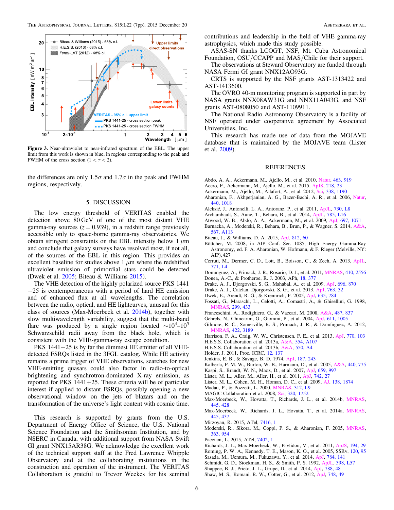<span id="page-6-38"></span>

Figure 3. Near-ultraviolet to near-infrared spectrum of the EBL. The upper limit from this work is shown in blue, in regions corresponding to the peak and FWHM of the cross section  $(1 < \tau < 2)$ .

the differences are only  $1.5\sigma$  and  $1.7\sigma$  in the peak and FWHM regions, respectively.

#### 5. DISCUSSION

The low energy threshold of VERITAS enabled the detection above 80 GeV of one of the most distant VHE gamma-ray sources  $(z = 0.939)$ , in a redshift range previously accessible only to space-borne gamma-ray observatories. We obtain stringent constraints on the EBL intensity below 1  $\mu$ m and conclude that galaxy surveys have resolved most, if not all, of the sources of the EBL in this region. This provides an excellent baseline for studies above  $1 \mu m$  where the redshifted ultraviolet emission of primordial stars could be detected (Dwek et al. [2005](#page-6-41); Biteau & Williams [2015](#page-6-35)).

The VHE detection of the highly polarized source PKS 1441  $+25$  is contemporaneous with a period of hard HE emission and of enhanced flux at all wavelengths. The correlation between the radio, optical, and HE lightcurves, unusual for this class of sources (Max-Moerbeck et al. [2014b](#page-6-42)), together with slow multiwavelength variability, suggest that the multi-band flare was produced by a single region located  $\sim 10^4 - 10^5$ Schwarzschild radii away from the black hole, which is consistent with the VHE-gamma-ray escape condition.

PKS 1441+25 is by far the dimmest HE emitter of all VHEdetected FSRQs listed in the 3FGL catalog. While HE activity remains a prime trigger of VHE observations, searches for new VHE-emitting quasars could also factor in radio-to-optical brightening and synchrotron-dominated X-ray emission, as reported for PKS  $1441+25$ . These criteria will be of particular interest if applied to distant FSRQs, possibly opening a new observational window on the jets of blazars and on the transformation of the universe's light content with cosmic time.

This research is supported by grants from the U.S. Department of Energy Office of Science, the U.S. National Science Foundation and the Smithsonian Institution, and by NSERC in Canada, with additional support from NASA Swift GI grant NNX15AR38G. We acknowledge the excellent work of the technical support staff at the Fred Lawrence Whipple Observatory and at the collaborating institutions in the construction and operation of the instrument. The VERITAS Collaboration is grateful to Trevor Weekes for his seminal contributions and leadership in the field of VHE gamma-ray astrophysics, which made this study possible.

ASAS-SN thanks LCOGT, NSF, Mt. Cuba Astronomical Foundation, OSU/CCAPP and MAS/Chile for their support.

The observations at Steward Observatory are funded through NASA Fermi GI grant NNX12AO93G.

CRTS is supported by the NSF grants AST-1313422 and AST-1413600.

The OVRO 40-m monitoring program is supported in part by NASA grants NNX08AW31G and NNX11A043G, and NSF grants AST-0808050 and AST-1109911.

The National Radio Astronomy Observatory is a facility of NSF operated under cooperative agreement by Associated Universities, Inc.

This research has made use of data from the MOJAVE database that is maintained by the MOJAVE team (Lister et al. [2009](#page-6-23)).

#### REFERENCES

- <span id="page-6-27"></span>Abdo, A. A., Ackermann, M., Ajello, M., et al. 2010, [Natur](http://dx.doi.org/10.1038/nature08841), [463, 919](http://adsabs.harvard.edu/abs/2010Natur.463..919A)
- <span id="page-6-12"></span>Acero, F., Ackermann, M., Ajello, M., et al. 2015, [ApJS](http://dx.doi.org/10.1088/0067-0049/218/2/23), [218, 23](http://adsabs.harvard.edu/abs/2015ApJS..218...23A)
- <span id="page-6-39"></span>Ackermann, M., Ajello, M., Allafort, A., et al. 2012, [Sci](http://dx.doi.org/10.1126/science.1227160), [338, 1190](http://adsabs.harvard.edu/abs/2012Sci...338.1190A)
- <span id="page-6-34"></span>Aharonian, F., Akhperjanian, A. G., Bazer-Bachi, A. R., et al. 2006, [Natur](http://dx.doi.org/10.1038/nature04680)[,](http://adsabs.harvard.edu/abs/2006Natur.440.1018A) [440, 1018](http://adsabs.harvard.edu/abs/2006Natur.440.1018A)
- <span id="page-6-2"></span>Aleksić, J., Antonelli, L. A., Antoranz, P., et al. 2011, [ApJL](http://dx.doi.org/10.1088/2041-8205/730/1/L8), [730, L8](http://adsabs.harvard.edu/abs/2011ApJ...730L...8A)
- <span id="page-6-9"></span>Archambault, S., Aune, T., Behara, B., et al. 2014, [ApJL,](http://dx.doi.org/10.1088/2041-8205/785/1/L16) [785, L16](http://adsabs.harvard.edu/abs/2014ApJ...785L..16A)
- <span id="page-6-11"></span>Atwood, W. B., Abdo, A. A., Ackermann, M., et al. 2009, [ApJ](http://dx.doi.org/10.1088/0004-637X/697/2/1071), [697, 1071](http://adsabs.harvard.edu/abs/2009ApJ...697.1071A)
- <span id="page-6-33"></span>Barnacka, A., Moderski, R., Behara, B., Brun, P., & Wagner, S. 2014, [A&A](http://dx.doi.org/10.1051/0004-6361/201322205)[,](http://adsabs.harvard.edu/abs/2014A&A...567A.113B) [567, A113](http://adsabs.harvard.edu/abs/2014A&A...567A.113B)
- <span id="page-6-35"></span>Biteau, J., & Williams, D. A. 2015, [ApJ](http://dx.doi.org/10.1088/0004-637X/812/1/60), [812, 60](http://adsabs.harvard.edu/abs/2015ApJ...812...60B)
- <span id="page-6-32"></span>Böttcher, M. 2008, in AIP Conf. Ser. 1085, High Energy Gamma-Ray Astronomy, ed. F. A. Aharonian, W. Hofmann, & F. Rieger (Melville, NY: AIP), 427
- <span id="page-6-29"></span>Cerruti, M., Dermer, C. D., Lott, B., Boisson, C., & Zech, A. 2013, [ApJL](http://dx.doi.org/10.1088/2041-8205/771/1/L4)[,](http://adsabs.harvard.edu/abs/2013ApJ...771L...4C) [771, L4](http://adsabs.harvard.edu/abs/2013ApJ...771L...4C)
- <span id="page-6-37"></span><span id="page-6-3"></span>Domínguez, A., Primack, J. R., Rosario, D. J., et al. 2011, [MNRAS,](http://dx.doi.org/10.1111/j.1365-2966.2010.17631.x) [410, 2556](http://adsabs.harvard.edu/abs/2011MNRAS.410.2556D) Donea, A.-C., & Protheroe, R. J. 2003, APh, [18, 377](http://adsabs.harvard.edu/abs/2003APh....18..377D)
- <span id="page-6-19"></span>Drake, A. J., Djorgovski, S. G., Mahabal, A., et al. 2009, [ApJ](http://dx.doi.org/10.1088/0004-637X/696/1/870), [696, 870](http://adsabs.harvard.edu/abs/2009ApJ...696..870D)
- <span id="page-6-20"></span>Drake, A. J., Catelan, Djorgovski, S. G., et al. 2013, [ApJ](http://dx.doi.org/10.1088/0004-637X/763/1/32), [763, 32](http://adsabs.harvard.edu/abs/2013ApJ...763...32D)
- <span id="page-6-41"></span>Dwek, E., Arendt, R. G., & Krennrich, F. 2005, [ApJ,](http://dx.doi.org/10.1086/497569) [635, 784](http://adsabs.harvard.edu/abs/2005ApJ...635..784D)
- <span id="page-6-26"></span>Fossati, G., Maraschi, L., Celotti, A., Comastri, A., & Ghisellini, G. 1998, [MNRAS](http://dx.doi.org/10.1046/j.1365-8711.1998.01828.x), [299, 433](http://adsabs.harvard.edu/abs/1998MNRAS.299..433F)
- <span id="page-6-36"></span>Franceschini, A., Rodighiero, G., & Vaccari, M. 2008, [A&A,](http://dx.doi.org/10.1051/0004-6361:200809691) [487, 837](http://adsabs.harvard.edu/abs/2008A&A...487..837F)
- <span id="page-6-14"></span>Gehrels, N., Chincarini, G., Giommi, P., et al. 2004, [ApJ,](http://dx.doi.org/10.1086/422091) [611, 1005](http://adsabs.harvard.edu/abs/2004ApJ...611.1005G)
- <span id="page-6-10"></span>Gilmore, R. C., Somerville, R. S., Primack, J. R., & Domínguez, A. 2012, [MNRAS](http://dx.doi.org/10.1111/j.1365-2966.2012.20841.x), [422, 3189](http://adsabs.harvard.edu/abs/2012MNRAS.422.3189G)
- <span id="page-6-13"></span>Harrison, F. A., Craig, W. W., Christensen, F. E., et al. 2013, [ApJ](http://dx.doi.org/10.1088/0004-637X/770/2/103), [770, 103](http://adsabs.harvard.edu/abs/2013ApJ...770..103H)
- <span id="page-6-1"></span>H.E.S.S. Collaboration et al. 2013a, [A&A](http://dx.doi.org/10.1051/0004-6361/201321135), [554, A107](http://adsabs.harvard.edu/abs/2013A&A...554A.107H)
- <span id="page-6-40"></span>H.E.S.S. Collaboration et al. 2013b, [A&A,](http://dx.doi.org/10.1051/0004-6361/201220355) [550, A4](http://adsabs.harvard.edu/abs/2013A&A...550A...4H)
- <span id="page-6-8"></span>Holder, J. 2011, Proc. ICRC, [12, 137](http://adsabs.harvard.edu/abs/2011ICRC...12..137H)
- <span id="page-6-18"></span>Jenkins, E. B., & Savage, B. D. 1974, [ApJ,](http://dx.doi.org/10.1086/152620) [187, 243](http://adsabs.harvard.edu/abs/1974ApJ...187..243J)
- <span id="page-6-15"></span>Kalberla, P. M. W., Burton, W. B., Harmann, D., et al. 2005, [A&A](http://dx.doi.org/10.1051/0004-6361:20041864), [440, 775](http://adsabs.harvard.edu/abs/2005A&A...440..775K)
- <span id="page-6-28"></span>Kaspi, S., Brandt, W. N., Maoz, D., et al. 2007, [ApJ,](http://dx.doi.org/10.1086/512094) [659, 997](http://adsabs.harvard.edu/abs/2007ApJ...659..997K)
- <span id="page-6-24"></span>Lister, M. L., Aller, M., Aller, H., et al. 2011, [ApJ,](http://dx.doi.org/10.1088/0004-637X/742/1/27) [742, 27](http://adsabs.harvard.edu/abs/2011ApJ...742...27L)
- <span id="page-6-23"></span>Lister, M. L., Cohen, M. H., Homan, D. C., et al. 2009, [AJ,](http://dx.doi.org/10.1088/0004-6256/138/6/1874) [138, 1874](http://adsabs.harvard.edu/abs/2009AJ....138.1874L)
- <span id="page-6-4"></span>Madau, P., & Pozzetti, L. 2000, [MNRAS,](http://dx.doi.org/10.1046/j.1365-8711.2000.03268.x) [312, L9](http://adsabs.harvard.edu/abs/2000MNRAS.312L...9M)
- <span id="page-6-0"></span>MAGIC Collaboration et al. 2008, [Sci](http://dx.doi.org/10.1126/science.1157087), [320, 1752](http://adsabs.harvard.edu/abs/2008Sci...320.1752M)
- <span id="page-6-42"></span>Max-Moerbeck, W., Hovatta, T., Richards, J. L., et al. 2014b, [MNRAS](http://dx.doi.org/10.1093/mnras/stu1749)[,](http://adsabs.harvard.edu/abs/2014MNRAS.445..428M) [445, 428](http://adsabs.harvard.edu/abs/2014MNRAS.445..428M)
- <span id="page-6-25"></span>Max-Moerbeck, W., Richards, J. L., Hovatta, T., et al. 2014a, [MNRAS](http://dx.doi.org/10.1093/mnras/stu1707)[,](http://adsabs.harvard.edu/abs/2014MNRAS.445..437M) [445, 437](http://adsabs.harvard.edu/abs/2014MNRAS.445..437M)
- <span id="page-6-6"></span>Mirzoyan, R. 2015, ATel, [7416, 1](http://adsabs.harvard.edu/abs/2015ATel.7416....1M)
- <span id="page-6-30"></span>Moderski, R., Sikora, M., Coppi, P. S., & Aharonian, F. 2005, [MNRAS](http://dx.doi.org/10.1111/j.1365-2966.2005.09494.x)[,](http://adsabs.harvard.edu/abs/2005MNRAS.363..954M) [363, 954](http://adsabs.harvard.edu/abs/2005MNRAS.363..954M)
- <span id="page-6-7"></span>Pacciani, L. 2015, ATel, [7402, 1](http://adsabs.harvard.edu/abs/2015ATel.7402....1P)
- <span id="page-6-22"></span>Richards, J. L., Max-Moerbeck, W., Pavlidou, V., et al. 2011, [ApJS](http://dx.doi.org/10.1088/0067-0049/194/2/29), [194, 29](http://adsabs.harvard.edu/abs/2011ApJS..194...29R)
- <span id="page-6-16"></span>Roming, P. W. A., Kennedy, T. E., Mason, K. O., et al. 2005, SSRv, [120, 95](http://adsabs.harvard.edu/abs/2005SSRv..120...95R)
- <span id="page-6-31"></span>Sasada, M., Uemura, M., Fukuzawa, Y., et al. 2014, [ApJ](http://dx.doi.org/10.1088/0004-637X/784/2/141), [784, 141](http://adsabs.harvard.edu/abs/2014ApJ...784..141S)
- <span id="page-6-21"></span>Schmidt, G. D., Stockman, H. S., & Smith, P. S. 1992, [ApJL,](http://dx.doi.org/10.1086/186576) [398, L57](http://adsabs.harvard.edu/abs/1992ApJ...398L..57S)
- <span id="page-6-17"></span>Shappee, B. J., Prieto, J. L., Grupe, D., et al. 2014, [ApJ](http://dx.doi.org/10.1088/0004-637X/788/1/48), [788, 48](http://adsabs.harvard.edu/abs/2014ApJ...788...48S)
- <span id="page-6-5"></span>Shaw, M. S., Romani, R. W., Cotter, G., et al. 2012, [ApJ](http://dx.doi.org/10.1088/0004-637X/748/1/49), [748, 49](http://adsabs.harvard.edu/abs/2012ApJ...748...49S)